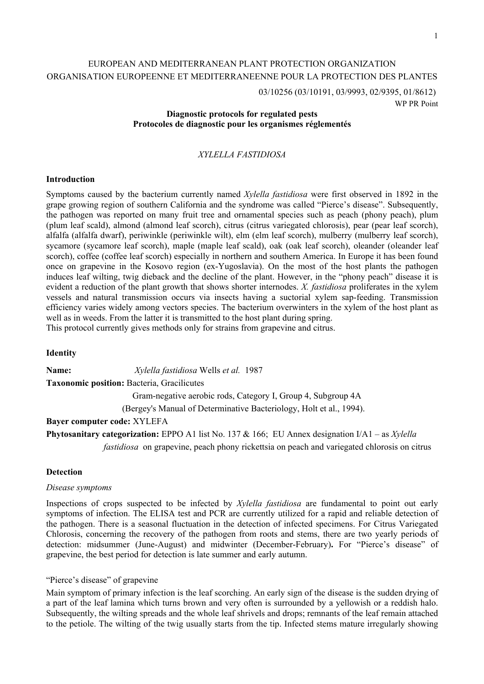# EUROPEAN AND MEDITERRANEAN PLANT PROTECTION ORGANIZATION ORGANISATION EUROPEENNE ET MEDITERRANEENNE POUR LA PROTECTION DES PLANTES

03/10256 (03/10191, 03/9993, 02/9395, 01/8612) WP PR Point

### **Diagnostic protocols for regulated pests Protocoles de diagnostic pour les organismes réglementés**

## *XYLELLA FASTIDIOSA*

### **Introduction**

Symptoms caused by the bacterium currently named *Xylella fastidiosa* were first observed in 1892 in the grape growing region of southern California and the syndrome was called "Pierce's disease". Subsequently, the pathogen was reported on many fruit tree and ornamental species such as peach (phony peach), plum (plum leaf scald), almond (almond leaf scorch), citrus (citrus variegated chlorosis), pear (pear leaf scorch), alfalfa (alfalfa dwarf), periwinkle (periwinkle wilt), elm (elm leaf scorch), mulberry (mulberry leaf scorch), sycamore (sycamore leaf scorch), maple (maple leaf scald), oak (oak leaf scorch), oleander (oleander leaf scorch), coffee (coffee leaf scorch) especially in northern and southern America. In Europe it has been found once on grapevine in the Kosovo region (ex-Yugoslavia). On the most of the host plants the pathogen induces leaf wilting, twig dieback and the decline of the plant. However, in the "phony peach" disease it is evident a reduction of the plant growth that shows shorter internodes. *X. fastidiosa* proliferates in the xylem vessels and natural transmission occurs via insects having a suctorial xylem sap-feeding. Transmission efficiency varies widely among vectors species. The bacterium overwinters in the xylem of the host plant as well as in weeds. From the latter it is transmitted to the host plant during spring.

This protocol currently gives methods only for strains from grapevine and citrus.

#### **Identity**

**Name:** *Xylella fastidiosa* Wells *et al.* 1987 **Taxonomic position:** Bacteria, Gracilicutes Gram-negative aerobic rods, Category I, Group 4, Subgroup 4A (Bergey's Manual of Determinative Bacteriology, Holt et al., 1994). **Bayer computer code:** XYLEFA

**Phytosanitary categorization:** EPPO A1 list No. 137 & 166; EU Annex designation I/A1 – as *Xylella fastidiosa* on grapevine, peach phony rickettsia on peach and variegated chlorosis on citrus

#### **Detection**

#### *Disease symptoms*

Inspections of crops suspected to be infected by *Xylella fastidiosa* are fundamental to point out early symptoms of infection. The ELISA test and PCR are currently utilized for a rapid and reliable detection of the pathogen. There is a seasonal fluctuation in the detection of infected specimens. For Citrus Variegated Chlorosis, concerning the recovery of the pathogen from roots and stems, there are two yearly periods of detection: midsummer (June-August) and midwinter (December-February)**.** For "Pierce's disease" of grapevine, the best period for detection is late summer and early autumn.

"Pierce's disease" of grapevine

Main symptom of primary infection is the leaf scorching. An early sign of the disease is the sudden drying of a part of the leaf lamina which turns brown and very often is surrounded by a yellowish or a reddish halo. Subsequently, the wilting spreads and the whole leaf shrivels and drops; remnants of the leaf remain attached to the petiole. The wilting of the twig usually starts from the tip. Infected stems mature irregularly showing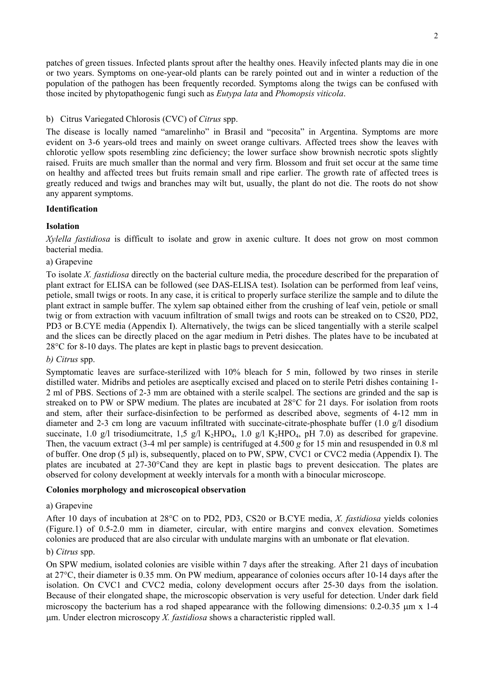patches of green tissues. Infected plants sprout after the healthy ones. Heavily infected plants may die in one or two years. Symptoms on one-year-old plants can be rarely pointed out and in winter a reduction of the population of the pathogen has been frequently recorded. Symptoms along the twigs can be confused with those incited by phytopathogenic fungi such as *Eutypa lata* and *Phomopsis viticola*.

## b) Citrus Variegated Chlorosis (CVC) of *Citrus* spp.

The disease is locally named "amarelinho" in Brasil and "pecosita" in Argentina. Symptoms are more evident on 3-6 years-old trees and mainly on sweet orange cultivars. Affected trees show the leaves with chlorotic yellow spots resembling zinc deficiency; the lower surface show brownish necrotic spots slightly raised. Fruits are much smaller than the normal and very firm. Blossom and fruit set occur at the same time on healthy and affected trees but fruits remain small and ripe earlier. The growth rate of affected trees is greatly reduced and twigs and branches may wilt but, usually, the plant do not die. The roots do not show any apparent symptoms.

## **Identification**

## **Isolation**

*Xylella fastidiosa* is difficult to isolate and grow in axenic culture. It does not grow on most common bacterial media.

## a) Grapevine

To isolate *X. fastidiosa* directly on the bacterial culture media, the procedure described for the preparation of plant extract for ELISA can be followed (see DAS-ELISA test). Isolation can be performed from leaf veins, petiole, small twigs or roots. In any case, it is critical to properly surface sterilize the sample and to dilute the plant extract in sample buffer. The xylem sap obtained either from the crushing of leaf vein, petiole or small twig or from extraction with vacuum infiltration of small twigs and roots can be streaked on to CS20, PD2, PD3 or B.CYE media (Appendix I). Alternatively, the twigs can be sliced tangentially with a sterile scalpel and the slices can be directly placed on the agar medium in Petri dishes. The plates have to be incubated at 28°C for 8-10 days. The plates are kept in plastic bags to prevent desiccation.

## *b) Citrus* spp.

Symptomatic leaves are surface-sterilized with 10% bleach for 5 min, followed by two rinses in sterile distilled water. Midribs and petioles are aseptically excised and placed on to sterile Petri dishes containing 1- 2 ml of PBS. Sections of 2-3 mm are obtained with a sterile scalpel. The sections are grinded and the sap is streaked on to PW or SPW medium. The plates are incubated at 28°C for 21 days. For isolation from roots and stem, after their surface-disinfection to be performed as described above, segments of 4-12 mm in diameter and 2-3 cm long are vacuum infiltrated with succinate-citrate-phosphate buffer (1.0 g/l disodium succinate, 1.0 g/l trisodiumcitrate, 1,5 g/l K<sub>2</sub>HPO<sub>4</sub>, 1.0 g/l K<sub>2</sub>HPO<sub>4</sub>, pH 7.0) as described for grapevine. Then, the vacuum extract (3-4 ml per sample) is centrifuged at 4.500 *g* for 15 min and resuspended in 0.8 ml of buffer. One drop (5 µl) is, subsequently, placed on to PW, SPW, CVC1 or CVC2 media (Appendix I). The plates are incubated at 27-30°Cand they are kept in plastic bags to prevent desiccation. The plates are observed for colony development at weekly intervals for a month with a binocular microscope.

## **Colonies morphology and microscopical observation**

#### a) Grapevine

After 10 days of incubation at 28°C on to PD2, PD3, CS20 or B.CYE media, *X. fastidiosa* yields colonies (Figure.1) of 0.5-2.0 mm in diameter, circular, with entire margins and convex elevation. Sometimes colonies are produced that are also circular with undulate margins with an umbonate or flat elevation.

## b) *Citrus* spp.

On SPW medium, isolated colonies are visible within 7 days after the streaking. After 21 days of incubation at 27°C, their diameter is 0.35 mm. On PW medium, appearance of colonies occurs after 10-14 days after the isolation. On CVC1 and CVC2 media, colony development occurs after 25-30 days from the isolation. Because of their elongated shape, the microscopic observation is very useful for detection. Under dark field microscopy the bacterium has a rod shaped appearance with the following dimensions:  $0.2$ -0.35  $\mu$ m x 1-4 µm. Under electron microscopy *X. fastidiosa* shows a characteristic rippled wall.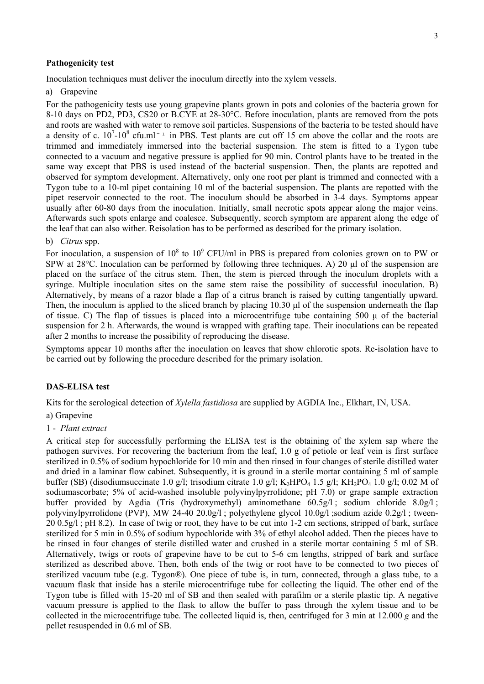#### **Pathogenicity test**

Inoculation techniques must deliver the inoculum directly into the xylem vessels.

a) Grapevine

For the pathogenicity tests use young grapevine plants grown in pots and colonies of the bacteria grown for 8-10 days on PD2, PD3, CS20 or B.CYE at 28-30°C. Before inoculation, plants are removed from the pots and roots are washed with water to remove soil particles. Suspensions of the bacteria to be tested should have a density of c.  $10^7$ - $10^8$  cfu.ml<sup>-1</sup> in PBS. Test plants are cut off 15 cm above the collar and the roots are trimmed and immediately immersed into the bacterial suspension. The stem is fitted to a Tygon tube connected to a vacuum and negative pressure is applied for 90 min. Control plants have to be treated in the same way except that PBS is used instead of the bacterial suspension. Then, the plants are repotted and observed for symptom development. Alternatively, only one root per plant is trimmed and connected with a Tygon tube to a 10-ml pipet containing 10 ml of the bacterial suspension. The plants are repotted with the pipet reservoir connected to the root. The inoculum should be absorbed in 3-4 days. Symptoms appear usually after 60-80 days from the inoculation. Initially, small necrotic spots appear along the major veins. Afterwards such spots enlarge and coalesce. Subsequently, scorch symptom are apparent along the edge of the leaf that can also wither. Reisolation has to be performed as described for the primary isolation.

#### b) *Citrus* spp.

For inoculation, a suspension of  $10^8$  to  $10^9$  CFU/ml in PBS is prepared from colonies grown on to PW or SPW at 28<sup>o</sup>C. Inoculation can be performed by following three techniques. A) 20 ul of the suspension are placed on the surface of the citrus stem. Then, the stem is pierced through the inoculum droplets with a syringe. Multiple inoculation sites on the same stem raise the possibility of successful inoculation. B) Alternatively, by means of a razor blade a flap of a citrus branch is raised by cutting tangentially upward. Then, the inoculum is applied to the sliced branch by placing 10.30 µ of the suspension underneath the flap of tissue. C) The flap of tissues is placed into a microcentrifuge tube containing 500  $\mu$  of the bacterial suspension for 2 h. Afterwards, the wound is wrapped with grafting tape. Their inoculations can be repeated after 2 months to increase the possibility of reproducing the disease.

Symptoms appear 10 months after the inoculation on leaves that show chlorotic spots. Re-isolation have to be carried out by following the procedure described for the primary isolation.

### **DAS-ELISA test**

Kits for the serological detection of *Xylella fastidiosa* are supplied by AGDIA Inc., Elkhart, IN, USA.

#### a) Grapevine

#### 1 - *Plant extract*

A critical step for successfully performing the ELISA test is the obtaining of the xylem sap where the pathogen survives. For recovering the bacterium from the leaf, 1.0 g of petiole or leaf vein is first surface sterilized in 0.5% of sodium hypochloride for 10 min and then rinsed in four changes of sterile distilled water and dried in a laminar flow cabinet. Subsequently, it is ground in a sterile mortar containing 5 ml of sample buffer (SB) (disodiumsuccinate 1.0 g/l; trisodium citrate 1.0 g/l; K<sub>2</sub>HPO<sub>4</sub> 1.5 g/l; KH<sub>2</sub>PO<sub>4</sub> 1.0 g/l; 0.02 M of sodiumascorbate; 5% of acid-washed insoluble polyvinylpyrrolidone; pH 7.0) or grape sample extraction buffer provided by Agdia (Tris (hydroxymethyl) aminomethane 60.5g/l; sodium chloride 8.0g/l; polyvinylpyrrolidone (PVP), MW 24-40 20.0g/l ; polyethylene glycol 10.0g/l ;sodium azide 0.2g/l ; tween-20 0.5g/l ; pH 8.2). In case of twig or root, they have to be cut into 1-2 cm sections, stripped of bark, surface sterilized for 5 min in 0.5% of sodium hypochloride with 3% of ethyl alcohol added. Then the pieces have to be rinsed in four changes of sterile distilled water and crushed in a sterile mortar containing 5 ml of SB. Alternatively, twigs or roots of grapevine have to be cut to 5-6 cm lengths, stripped of bark and surface sterilized as described above. Then, both ends of the twig or root have to be connected to two pieces of sterilized vacuum tube (e.g. Tygon®). One piece of tube is, in turn, connected, through a glass tube, to a vacuum flask that inside has a sterile microcentrifuge tube for collecting the liquid. The other end of the Tygon tube is filled with 15-20 ml of SB and then sealed with parafilm or a sterile plastic tip. A negative vacuum pressure is applied to the flask to allow the buffer to pass through the xylem tissue and to be collected in the microcentrifuge tube. The collected liquid is, then, centrifuged for 3 min at 12.000 *g* and the pellet resuspended in 0.6 ml of SB.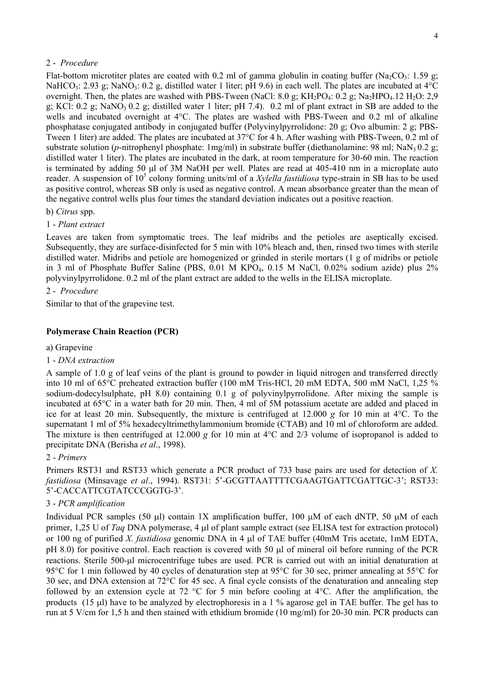### 2 - *Procedure*

Flat-bottom microtiter plates are coated with 0.2 ml of gamma globulin in coating buffer (Na<sub>2</sub>CO<sub>3</sub>: 1.59 g; NaHCO<sub>3</sub>: 2.93 g; NaNO<sub>3</sub>: 0.2 g, distilled water 1 liter; pH 9.6) in each well. The plates are incubated at 4°C overnight. Then, the plates are washed with PBS-Tween (NaCl: 8.0 g; KH<sub>2</sub>PO<sub>4</sub>: 0.2 g; Na<sub>2</sub>HPO<sub>4</sub>.12 H<sub>2</sub>O: 2,9 g; KCl: 0.2 g; NaNO<sub>3</sub> 0.2 g; distilled water 1 liter; pH 7.4). 0.2 ml of plant extract in SB are added to the wells and incubated overnight at 4°C. The plates are washed with PBS-Tween and 0.2 ml of alkaline phosphatase conjugated antibody in conjugated buffer (Polyvinylpyrrolidone: 20 g; Ovo albumin: 2 g; PBS-Tween 1 liter) are added. The plates are incubated at 37°C for 4 h. After washing with PBS-Tween, 0.2 ml of substrate solution (*p*-nitrophenyl phosphate: 1mg/ml) in substrate buffer (diethanolamine: 98 ml; NaN<sub>3</sub> 0.2 g; distilled water 1 liter). The plates are incubated in the dark, at room temperature for 30-60 min. The reaction is terminated by adding 50 µl of 3M NaOH per well. Plates are read at 405-410 nm in a microplate auto reader. A suspension of 10<sup>5</sup> colony forming units/ml of a *Xylella fastidiosa* type-strain in SB has to be used as positive control, whereas SB only is used as negative control. A mean absorbance greater than the mean of the negative control wells plus four times the standard deviation indicates out a positive reaction.

#### b) *Citrus* spp.

### 1 - *Plant extract*

Leaves are taken from symptomatic trees. The leaf midribs and the petioles are aseptically excised. Subsequently, they are surface-disinfected for 5 min with 10% bleach and, then, rinsed two times with sterile distilled water. Midribs and petiole are homogenized or grinded in sterile mortars (1 g of midribs or petiole in 3 ml of Phosphate Buffer Saline (PBS, 0.01 M KPO<sub>4</sub>, 0.15 M NaCl, 0.02% sodium azide) plus 2% polyvinylpyrrolidone. 0.2 ml of the plant extract are added to the wells in the ELISA microplate.

### 2 - *Procedure*

Similar to that of the grapevine test.

### **Polymerase Chain Reaction (PCR)**

a) Grapevine

#### 1 - *DNA extraction*

A sample of 1.0 g of leaf veins of the plant is ground to powder in liquid nitrogen and transferred directly into 10 ml of 65°C preheated extraction buffer (100 mM Tris-HCl, 20 mM EDTA, 500 mM NaCl, 1,25 % sodium-dodecylsulphate, pH 8.0) containing 0.1 g of polyvinylpyrrolidone. After mixing the sample is incubated at 65°C in a water bath for 20 min. Then, 4 ml of 5M potassium acetate are added and placed in ice for at least 20 min. Subsequently, the mixture is centrifuged at 12.000 *g* for 10 min at 4°C. To the supernatant 1 ml of 5% hexadecyltrimethylammonium bromide (CTAB) and 10 ml of chloroform are added. The mixture is then centrifuged at 12.000 *g* for 10 min at 4°C and 2/3 volume of isopropanol is added to precipitate DNA (Berisha *et al*., 1998).

#### 2 - *Primers*

Primers RST31 and RST33 which generate a PCR product of 733 base pairs are used for detection of *X. fastidiosa* (Minsavage *et al*., 1994). RST31: 5'-GCGTTAATTTTCGAAGTGATTCGATTGC-3'; RST33: 5'-CACCATTCGTATCCCGGTG-3'.

## 3 - *PCR amplification*

Individual PCR samples (50  $\mu$ I) contain 1X amplification buffer, 100  $\mu$ M of each dNTP, 50  $\mu$ M of each primer, 1,25 U of *Taq* DNA polymerase, 4 µl of plant sample extract (see ELISA test for extraction protocol) or 100 ng of purified *X. fastidiosa* genomic DNA in 4 µl of TAE buffer (40mM Tris acetate, 1mM EDTA, pH 8.0) for positive control. Each reaction is covered with 50 µl of mineral oil before running of the PCR reactions. Sterile 500-µl microcentrifuge tubes are used. PCR is carried out with an initial denaturation at 95°C for 1 min followed by 40 cycles of denaturation step at 95°C for 30 sec, primer annealing at 55°C for 30 sec, and DNA extension at 72°C for 45 sec. A final cycle consists of the denaturation and annealing step followed by an extension cycle at 72 °C for 5 min before cooling at 4°C. After the amplification, the products (15 µl) have to be analyzed by electrophoresis in a 1 % agarose gel in TAE buffer. The gel has to run at 5 V/cm for 1,5 h and then stained with ethidium bromide (10 mg/ml) for 20-30 min. PCR products can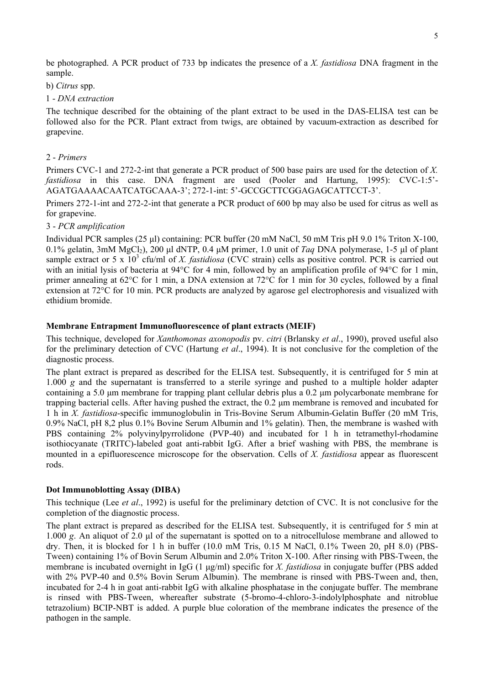be photographed. A PCR product of 733 bp indicates the presence of a *X. fastidiosa* DNA fragment in the sample.

## b) *Citrus* spp.

### 1 - *DNA extraction*

The technique described for the obtaining of the plant extract to be used in the DAS-ELISA test can be followed also for the PCR. Plant extract from twigs, are obtained by vacuum-extraction as described for grapevine.

## 2 - *Primers*

Primers CVC-1 and 272-2-int that generate a PCR product of 500 base pairs are used for the detection of *X. fastidiosa* in this case. DNA fragment are used (Pooler and Hartung, 1995): CVC-1:5'- AGATGAAAACAATCATGCAAA-3'; 272-1-int: 5'-GCCGCTTCGGAGAGCATTCCT-3'.

Primers 272-1-int and 272-2-int that generate a PCR product of 600 bp may also be used for citrus as well as for grapevine.

## 3 - *PCR amplification*

Individual PCR samples (25 µl) containing: PCR buffer (20 mM NaCl, 50 mM Tris pH 9.0 1% Triton X-100, 0.1% gelatin, 3mM MgCl<sub>2</sub>), 200 µl dNTP, 0.4 µM primer, 1.0 unit of *Taq* DNA polymerase, 1-5 µl of plant sample extract or 5 x  $10^3$  cfu/ml of *X. fastidiosa* (CVC strain) cells as positive control. PCR is carried out with an initial lysis of bacteria at 94°C for 4 min, followed by an amplification profile of 94°C for 1 min, primer annealing at 62°C for 1 min, a DNA extension at 72°C for 1 min for 30 cycles, followed by a final extension at 72°C for 10 min. PCR products are analyzed by agarose gel electrophoresis and visualized with ethidium bromide.

## **Membrane Entrapment Immunofluorescence of plant extracts (MEIF)**

This technique, developed for *Xanthomonas axonopodis* pv. *citri* (Brlansky *et al*., 1990), proved useful also for the preliminary detection of CVC (Hartung *et al*., 1994). It is not conclusive for the completion of the diagnostic process.

The plant extract is prepared as described for the ELISA test. Subsequently, it is centrifuged for 5 min at 1.000 *g* and the supernatant is transferred to a sterile syringe and pushed to a multiple holder adapter containing a 5.0 µm membrane for trapping plant cellular debris plus a 0.2 µm polycarbonate membrane for trapping bacterial cells. After having pushed the extract, the 0.2 µm membrane is removed and incubated for 1 h in *X. fastidiosa*-specific immunoglobulin in Tris-Bovine Serum Albumin-Gelatin Buffer (20 mM Tris, 0.9% NaCl, pH 8,2 plus 0.1% Bovine Serum Albumin and 1% gelatin). Then, the membrane is washed with PBS containing 2% polyvinylpyrrolidone (PVP-40) and incubated for 1 h in tetramethyl-rhodamine isothiocyanate (TRITC)-labeled goat anti-rabbit IgG. After a brief washing with PBS, the membrane is mounted in a epifluorescence microscope for the observation. Cells of *X. fastidiosa* appear as fluorescent rods.

## **Dot Immunoblotting Assay (DIBA)**

This technique (Lee *et al*., 1992) is useful for the preliminary detction of CVC. It is not conclusive for the completion of the diagnostic process.

The plant extract is prepared as described for the ELISA test. Subsequently, it is centrifuged for 5 min at 1.000 *g*. An aliquot of 2.0 µl of the supernatant is spotted on to a nitrocellulose membrane and allowed to dry. Then, it is blocked for 1 h in buffer (10.0 mM Tris, 0.15 M NaCl, 0.1% Tween 20, pH 8.0) (PBS-Tween) containing 1% of Bovin Serum Albumin and 2.0% Triton X-100. After rinsing with PBS-Tween, the membrane is incubated overnight in IgG (1 µg/ml) specific for *X. fastidiosa* in conjugate buffer (PBS added with 2% PVP-40 and 0.5% Bovin Serum Albumin). The membrane is rinsed with PBS-Tween and, then, incubated for 2-4 h in goat anti-rabbit IgG with alkaline phosphatase in the conjugate buffer. The membrane is rinsed with PBS-Tween, whereafter substrate (5-bromo-4-chloro-3-indolylphosphate and nitroblue tetrazolium) BCIP-NBT is added. A purple blue coloration of the membrane indicates the presence of the pathogen in the sample.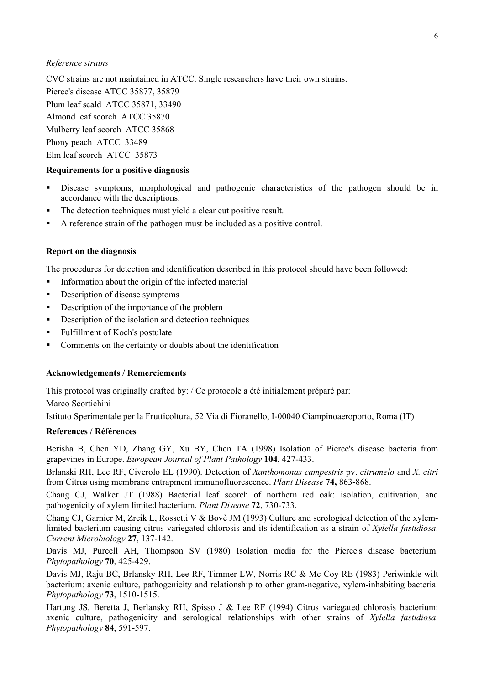#### *Reference strains*

CVC strains are not maintained in ATCC. Single researchers have their own strains. Pierce's disease ATCC 35877, 35879 Plum leaf scald ATCC 35871, 33490 Almond leaf scorch ATCC 35870 Mulberry leaf scorch ATCC 35868 Phony peach ATCC 33489 Elm leaf scorch ATCC 35873

### **Requirements for a positive diagnosis**

- Disease symptoms, morphological and pathogenic characteristics of the pathogen should be in accordance with the descriptions.
- The detection techniques must yield a clear cut positive result.
- A reference strain of the pathogen must be included as a positive control.

### **Report on the diagnosis**

The procedures for detection and identification described in this protocol should have been followed:

- $\blacksquare$  Information about the origin of the infected material
- Description of disease symptoms
- Description of the importance of the problem
- Description of the isolation and detection techniques
- Fulfillment of Koch's postulate
- Comments on the certainty or doubts about the identification

### **Acknowledgements / Remerciements**

This protocol was originally drafted by: / Ce protocole a été initialement préparé par:

Marco Scortichini

Istituto Sperimentale per la Frutticoltura, 52 Via di Fioranello, I-00040 Ciampinoaeroporto, Roma (IT)

## **References / Références**

Berisha B, Chen YD, Zhang GY, Xu BY, Chen TA (1998) Isolation of Pierce's disease bacteria from grapevines in Europe. *European Journal of Plant Pathology* **104**, 427-433.

Brlanski RH, Lee RF, Civerolo EL (1990). Detection of *Xanthomonas campestris* pv. *citrumelo* and *X. citri* from Citrus using membrane entrapment immunofluorescence. *Plant Disease* **74,** 863-868.

Chang CJ, Walker JT (1988) Bacterial leaf scorch of northern red oak: isolation, cultivation, and pathogenicity of xylem limited bacterium. *Plant Disease* **72**, 730-733.

Chang CJ, Garnier M, Zreik L, Rossetti V & Bovè JM (1993) Culture and serological detection of the xylemlimited bacterium causing citrus variegated chlorosis and its identification as a strain of *Xylella fastidiosa*. *Current Microbiology* **27**, 137-142.

Davis MJ, Purcell AH, Thompson SV (1980) Isolation media for the Pierce's disease bacterium. *Phytopathology* **70**, 425-429.

Davis MJ, Raju BC, Brlansky RH, Lee RF, Timmer LW, Norris RC & Mc Coy RE (1983) Periwinkle wilt bacterium: axenic culture, pathogenicity and relationship to other gram-negative, xylem-inhabiting bacteria. *Phytopathology* **73**, 1510-1515.

Hartung JS, Beretta J, Berlansky RH, Spisso J & Lee RF (1994) Citrus variegated chlorosis bacterium: axenic culture, pathogenicity and serological relationships with other strains of *Xylella fastidiosa*. *Phytopathology* **84**, 591-597.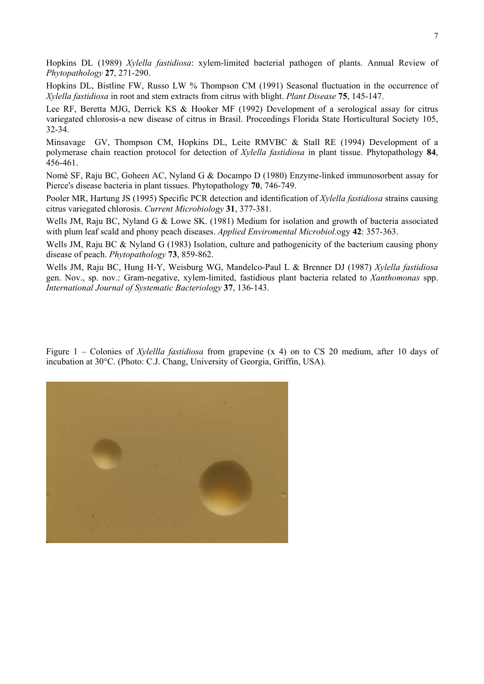Hopkins DL (1989) *Xylella fastidiosa*: xylem-limited bacterial pathogen of plants. Annual Review of *Phytopathology* **27**, 271-290.

Hopkins DL, Bistline FW, Russo LW % Thompson CM (1991) Seasonal fluctuation in the occurrence of *Xylella fastidiosa* in root and stem extracts from citrus with blight. *Plant Disease* **75**, 145-147.

Lee RF, Beretta MJG, Derrick KS & Hooker MF (1992) Development of a serological assay for citrus variegated chlorosis-a new disease of citrus in Brasil. Proceedings Florida State Horticultural Society 105, 32-34.

Minsavage GV, Thompson CM, Hopkins DL, Leite RMVBC & Stall RE (1994) Development of a polymerase chain reaction protocol for detection of *Xylella fastidiosa* in plant tissue. Phytopathology **84**, 456-461.

Nomè SF, Raju BC, Goheen AC, Nyland G & Docampo D (1980) Enzyme-linked immunosorbent assay for Pierce's disease bacteria in plant tissues. Phytopathology **70**, 746-749.

Pooler MR, Hartung JS (1995) Specific PCR detection and identification of *Xylella fastidiosa* strains causing citrus variegated chlorosis. *Current Microbiology* **31**, 377-381.

Wells JM, Raju BC, Nyland G & Lowe SK. (1981) Medium for isolation and growth of bacteria associated with plum leaf scald and phony peach diseases. *Applied Enviromental Microbiol.*ogy **42**: 357-363.

Wells JM, Raju BC & Nyland G (1983) Isolation, culture and pathogenicity of the bacterium causing phony disease of peach. *Phytopathology* **73**, 859-862.

Wells JM, Raju BC, Hung H-Y, Weisburg WG, Mandelco-Paul L & Brenner DJ (1987) *Xylella fastidiosa* gen. Nov., sp. nov.: Gram-negative, xylem-limited, fastidious plant bacteria related to *Xanthomonas* spp. *International Journal of Systematic Bacteriology* **37**, 136-143.

Figure 1 – Colonies of *Xylellla fastidiosa* from grapevine (x 4) on to CS 20 medium, after 10 days of incubation at 30°C. (Photo: C.J. Chang, University of Georgia, Griffin, USA).

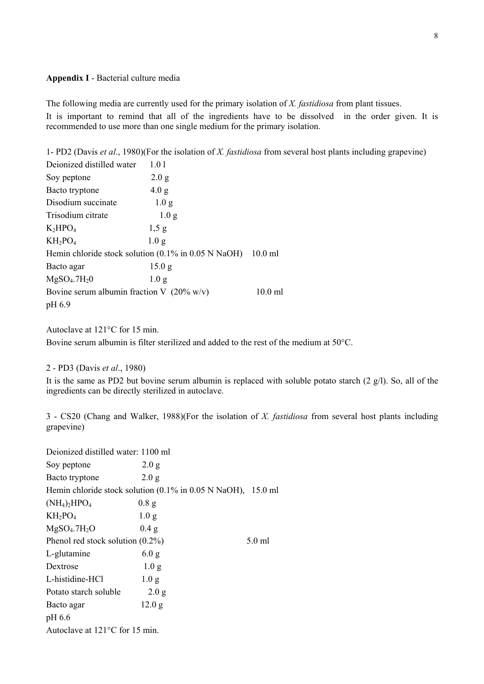### **Appendix I** - Bacterial culture media

The following media are currently used for the primary isolation of *X. fastidiosa* from plant tissues. It is important to remind that all of the ingredients have to be dissolved in the order given. It is recommended to use more than one single medium for the primary isolation.

1- PD2 (Davis *et al*., 1980)(For the isolation of *X. fastidiosa* from several host plants including grapevine)

| Deionized distilled water                                                            | 1.01              |           |
|--------------------------------------------------------------------------------------|-------------------|-----------|
| Soy peptone                                                                          | 2.0 g             |           |
| Bacto tryptone                                                                       | 4.0 g             |           |
| Disodium succinate                                                                   | 1.0 <sub>g</sub>  |           |
| Trisodium citrate                                                                    | 1.0 <sub>g</sub>  |           |
| $K_2HPO_4$                                                                           | 1,5g              |           |
| $KH_2PO_4$                                                                           | 1.0 <sub>g</sub>  |           |
| Hemin chloride stock solution $(0.1\% \text{ in } 0.05 \text{ N NaOH})$<br>$10.0$ ml |                   |           |
| Bacto agar                                                                           | 15.0 <sub>g</sub> |           |
| $MgSO4$ .7 $H20$                                                                     | 1.0 <sub>g</sub>  |           |
| Bovine serum albumin fraction V $(20\% \text{ w/v})$                                 |                   | $10.0$ ml |
| pH 6.9                                                                               |                   |           |

Autoclave at 121°C for 15 min.

Bovine serum albumin is filter sterilized and added to the rest of the medium at 50°C.

### 2 - PD3 (Davis *et al*., 1980)

It is the same as PD2 but bovine serum albumin is replaced with soluble potato starch (2 g/l). So, all of the ingredients can be directly sterilized in autoclave.

3 - CS20 (Chang and Walker, 1988)(For the isolation of *X. fastidiosa* from several host plants including grapevine)

| Deionized distilled water: 1100 ml                                                |                  |        |
|-----------------------------------------------------------------------------------|------------------|--------|
| Soy peptone                                                                       | 2.0 g            |        |
| Bacto tryptone                                                                    | 2.0 g            |        |
| Hemin chloride stock solution $(0.1\% \text{ in } 0.05 \text{ N NaOH})$ , 15.0 ml |                  |        |
| $(NH_4)_2HPO_4$                                                                   | 0.8 g            |        |
| $KH_2PO_4$                                                                        | 1.0 <sub>g</sub> |        |
| MgSO <sub>4</sub> .7H <sub>2</sub> O                                              | 0.4 g            |        |
| Phenol red stock solution $(0.2\%)$                                               |                  | 5.0 ml |
| L-glutamine                                                                       | 6.0 g            |        |
| Dextrose                                                                          | 1.0 <sub>g</sub> |        |
| L-histidine-HCl                                                                   | 1.0 <sub>g</sub> |        |
| Potato starch soluble                                                             | 2.0 g            |        |
| Bacto agar                                                                        | 12.0 g           |        |
| pH 6.6                                                                            |                  |        |
| Autoclave at 121°C for 15 min.                                                    |                  |        |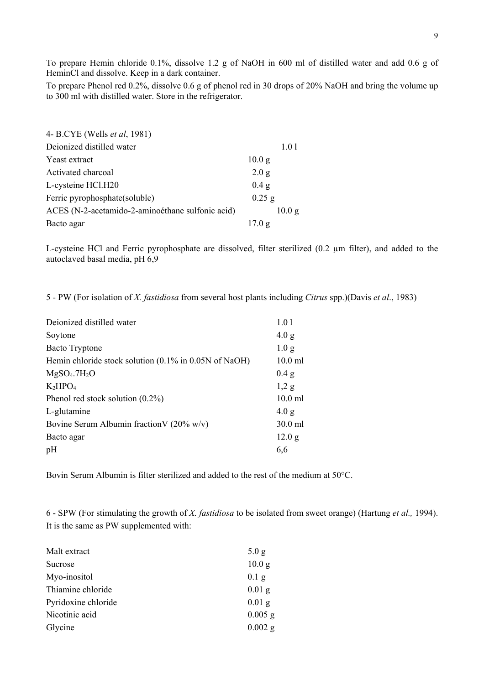To prepare Hemin chloride 0.1%, dissolve 1.2 g of NaOH in 600 ml of distilled water and add 0.6 g of HeminCl and dissolve. Keep in a dark container.

To prepare Phenol red 0.2%, dissolve 0.6 g of phenol red in 30 drops of 20% NaOH and bring the volume up to 300 ml with distilled water. Store in the refrigerator.

| 4- B.CYE (Wells <i>et al</i> , 1981)             |                   |
|--------------------------------------------------|-------------------|
| Deionized distilled water                        | 1.01              |
| Yeast extract                                    | 10.0 <sub>g</sub> |
| Activated charcoal                               | 2.0 g             |
| L-cysteine HCl.H20                               | $0.4$ g           |
| Ferric pyrophosphate(soluble)                    | $0.25$ g          |
| ACES (N-2-acetamido-2-aminoéthane sulfonic acid) | 10.0 g            |
| Bacto agar                                       | 17.0 g            |

L-cysteine HCl and Ferric pyrophosphate are dissolved, filter sterilized (0.2 µm filter), and added to the autoclaved basal media, pH 6,9

5 - PW (For isolation of *X. fastidiosa* from several host plants including *Citrus* spp.)(Davis *et al*., 1983)

| Deionized distilled water                                | 1.01             |
|----------------------------------------------------------|------------------|
| Soytone                                                  | 4.0 g            |
| <b>Bacto Tryptone</b>                                    | 1.0 <sub>g</sub> |
| Hemin chloride stock solution $(0.1\%$ in 0.05N of NaOH) | $10.0$ ml        |
| MgSO <sub>4</sub> .7H <sub>2</sub> O                     | 0.4 g            |
| $K_2HPO_4$                                               | 1,2g             |
| Phenol red stock solution $(0.2\%)$                      | $10.0$ ml        |
| L-glutamine                                              | 4.0 g            |
| Bovine Serum Albumin fraction V (20% w/v)                | 30.0 ml          |
| Bacto agar                                               | 12.0 g           |
| pH                                                       | 6,6              |
|                                                          |                  |

Bovin Serum Albumin is filter sterilized and added to the rest of the medium at 50°C.

6 - SPW (For stimulating the growth of *X. fastidiosa* to be isolated from sweet orange) (Hartung *et al.,* 1994). It is the same as PW supplemented with:

| Malt extract        | 5.0 g             |
|---------------------|-------------------|
| Sucrose             | 10.0 <sub>g</sub> |
| Myo-inositol        | $0.1$ g           |
| Thiamine chloride   | $0.01$ g          |
| Pyridoxine chloride | $0.01$ g          |
| Nicotinic acid      | $0.005$ g         |
| Glycine             | $0.002$ g         |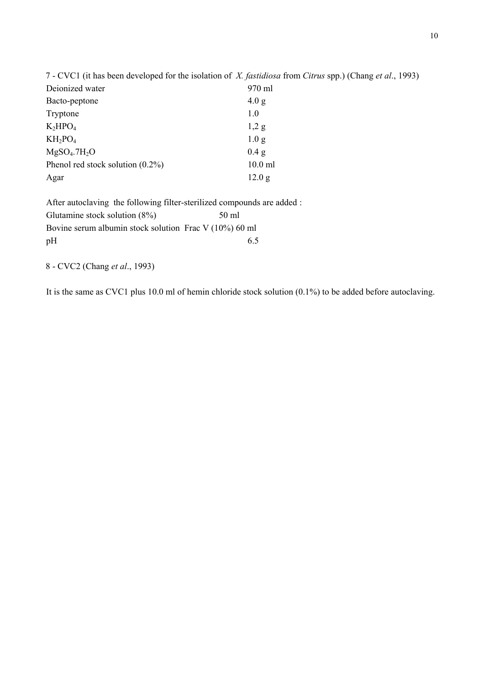| 7 - CVC1 (it has been developed for the isolation of X. fastidiosa from Citrus spp.) (Chang et al., 1993) |                  |
|-----------------------------------------------------------------------------------------------------------|------------------|
| Deionized water                                                                                           | 970 ml           |
| Bacto-peptone                                                                                             | 4.0 g            |
| Tryptone                                                                                                  | 1.0              |
| $K_2HPO_4$                                                                                                | $1,2$ g          |
| $KH_2PO_4$                                                                                                | 1.0 <sub>g</sub> |
| MgSO <sub>4</sub> .7H <sub>2</sub> O                                                                      | 0.4 g            |
| Phenol red stock solution $(0.2\%)$                                                                       | $10.0$ ml        |
| Agar                                                                                                      | 12.0 g           |

After autoclaving the following filter-sterilized compounds are added : Glutamine stock solution (8%) 50 ml Bovine serum albumin stock solution Frac V (10%) 60 ml  $pH$  6.5

8 - CVC2 (Chang *et al*., 1993)

It is the same as CVC1 plus 10.0 ml of hemin chloride stock solution (0.1%) to be added before autoclaving.